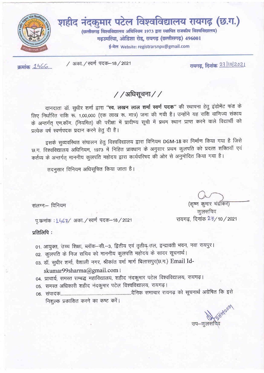

रायगढ, दिनांक 23 102021

/ अका. / स्वर्ण पदक-18 / 2021

क्रमांक 1566

/ / अधिसूचना / /

दानदाता डॉ. सुधीर शर्मा द्वारा "स्व. लखन लाल शर्मा स्वर्ण पदक" की स्थापना हेतु इंडोमेंट फंड के लिए निर्धारित राशि रू. 1,00,000 (एक लाख रू. मात्र) जमा की गयी है। उन्होंने यह राशि वाणिज्य संकाय के अन्तर्गत् एम.कॉम. (नियमित) की परीक्षा में प्रावीण्य सूची में प्रथम स्थान प्राप्त करने वाले विद्यार्थी को प्रत्येक वर्ष स्वर्णपदक प्रदान करने हेतु दी है।

इसके सुव्यवस्थित संचालन हेतु विश्वविद्यालय द्वारा विनियम DGM-18 का निर्माण किया गया है जिसे छ.ग. विश्वविद्यालय अधिनियम, 1973 में निहित प्रावधान के अनुसार प्रथम कुलपति को प्रदत्त शक्तियाँ एवं कर्तव्य के अन्तर्गत् माननीय कुलपति महोदय द्वारा कार्यपरिषद की ओर से अनुमोदित किया गया है।

तदनसार विनियम अधिसूचित किया जाता है।

संलग्न:- विनियम

पू.कमांक : 1467/ अका. / स्वर्ण पदक-18/2021

#### प्रतिलिपि:

- 01. आयुक्त, उच्च शिक्षा, ब्लॉक-सी.-3, द्वितीय एवं तृतीय तल, इन्द्रावती भवन, नवा रायपुर। 02. कुलपति के निज सचिव को माननीय कुलपति महोदय के सादर सूचनार्थ।
- 03. डॉ. सुधीर शर्मा, वैशाली नगर, श्रीकांत वर्मा मार्ग बिलासपुर(छ.ग.) Email Id-

skumar99sharma@gmail.com

- 04. प्राचार्य, समस्त सम्बद्ध महाविद्यालय, शहीद नंदकुमार पटेल विश्वविद्यालय, रायगढ़।
- 05. समस्त अधिकारी शहीद नंदकुमार पटेल विश्वविद्यालय, रायगढ़।
- निशुल्क प्रकाशित करने का कष्ट करें।

उप–कलसचि

(कृष्ण कुमार चंद्रॉकर) कुलसचिव रायगढ़, दिनांक 2 3/10 / 2021